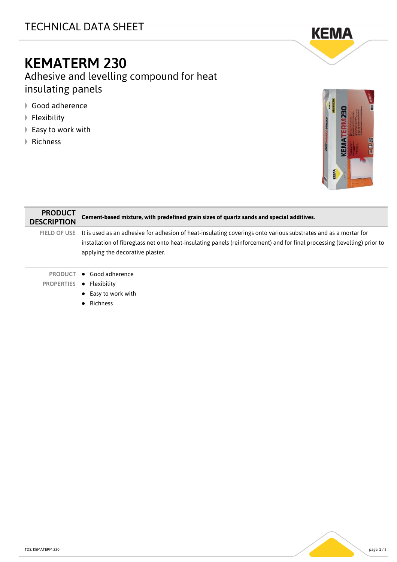# TECHNICAL DATA SHEET



# KEMATERM 230

Adhesive and levelling compound for heat insulating panels

- Good adherence
- $\blacktriangleright$  Flexibility
- ▶ Easy to work with
- **▶ Richness**



| <b>PRODUCT</b><br><b>DESCRIPTION</b> | Cement-based mixture, with predefined grain sizes of quartz sands and special additives.                                                                                                                                                                                                     |
|--------------------------------------|----------------------------------------------------------------------------------------------------------------------------------------------------------------------------------------------------------------------------------------------------------------------------------------------|
|                                      | FIELD OF USE It is used as an adhesive for adhesion of heat-insulating coverings onto various substrates and as a mortar for<br>installation of fibreglass net onto heat-insulating panels (reinforcement) and for final processing (levelling) prior to<br>applying the decorative plaster. |
| PRODUCT                              | $\bullet$ Good adherence                                                                                                                                                                                                                                                                     |
| <b>PROPERTIES</b>                    | • Flexibility                                                                                                                                                                                                                                                                                |
|                                      | $\bullet$ Easy to work with                                                                                                                                                                                                                                                                  |
|                                      | Richness                                                                                                                                                                                                                                                                                     |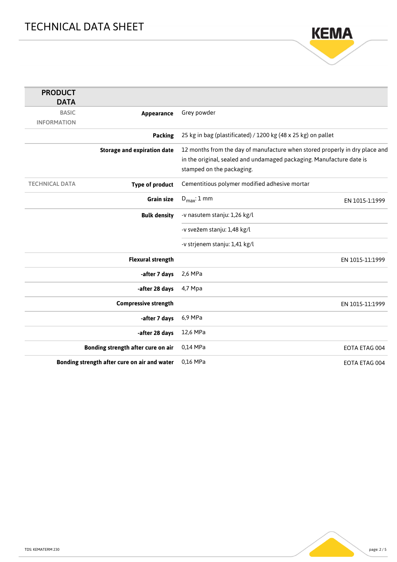

| <b>PRODUCT</b>        |                                              |                                                                                                                                                                                  |
|-----------------------|----------------------------------------------|----------------------------------------------------------------------------------------------------------------------------------------------------------------------------------|
| <b>DATA</b>           |                                              |                                                                                                                                                                                  |
| <b>BASIC</b>          | Appearance                                   | Grey powder                                                                                                                                                                      |
| <b>INFORMATION</b>    |                                              |                                                                                                                                                                                  |
|                       | <b>Packing</b>                               | 25 kg in bag (plastificated) / 1200 kg (48 x 25 kg) on pallet                                                                                                                    |
|                       | <b>Storage and expiration date</b>           | 12 months from the day of manufacture when stored properly in dry place and<br>in the original, sealed and undamaged packaging. Manufacture date is<br>stamped on the packaging. |
| <b>TECHNICAL DATA</b> | <b>Type of product</b>                       | Cementitious polymer modified adhesive mortar                                                                                                                                    |
|                       | <b>Grain size</b>                            | $D_{\text{max}}: 1 \text{ mm}$<br>EN 1015-1:1999                                                                                                                                 |
|                       | <b>Bulk density</b>                          | -v nasutem stanju: 1,26 kg/l                                                                                                                                                     |
|                       |                                              | -v svežem stanju: 1,48 kg/l                                                                                                                                                      |
|                       |                                              | -v strjenem stanju: 1,41 kg/l                                                                                                                                                    |
|                       | <b>Flexural strength</b>                     | EN 1015-11:1999                                                                                                                                                                  |
|                       | -after 7 days                                | 2,6 MPa                                                                                                                                                                          |
|                       | -after 28 days                               | 4,7 Mpa                                                                                                                                                                          |
|                       | <b>Compressive strength</b>                  | EN 1015-11:1999                                                                                                                                                                  |
|                       | -after 7 days                                | 6,9 MPa                                                                                                                                                                          |
|                       | -after 28 days                               | 12,6 MPa                                                                                                                                                                         |
|                       | Bonding strength after cure on air           | 0,14 MPa<br>EOTA ETAG 004                                                                                                                                                        |
|                       | Bonding strength after cure on air and water | 0,16 MPa<br>EOTA ETAG 004                                                                                                                                                        |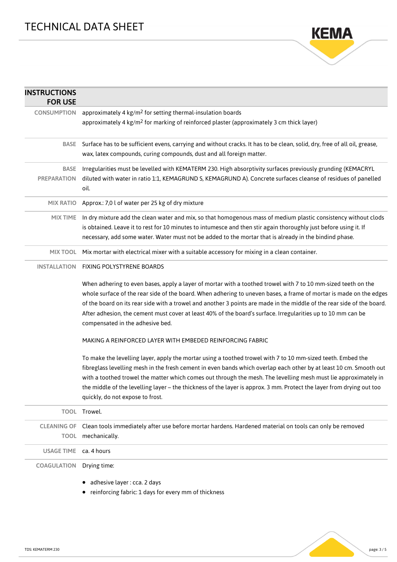

| <b>INSTRUCTIONS</b><br><b>FOR USE</b> |                                                                                                                                                                                                                                                                                                                                                                                                                                                                                                                   |  |
|---------------------------------------|-------------------------------------------------------------------------------------------------------------------------------------------------------------------------------------------------------------------------------------------------------------------------------------------------------------------------------------------------------------------------------------------------------------------------------------------------------------------------------------------------------------------|--|
| <b>CONSUMPTION</b>                    | approximately 4 kg/m <sup>2</sup> for setting thermal-insulation boards                                                                                                                                                                                                                                                                                                                                                                                                                                           |  |
|                                       | approximately 4 kg/m <sup>2</sup> for marking of reinforced plaster (approximately 3 cm thick layer)                                                                                                                                                                                                                                                                                                                                                                                                              |  |
| BASE                                  | Surface has to be sufficient evens, carrying and without cracks. It has to be clean, solid, dry, free of all oil, grease,<br>wax, latex compounds, curing compounds, dust and all foreign matter.                                                                                                                                                                                                                                                                                                                 |  |
| BASE<br><b>PREPARATION</b>            | Irregularities must be levelled with KEMATERM 230. High absorptivity surfaces previously grunding (KEMACRYL<br>diluted with water in ratio 1:1, KEMAGRUND S, KEMAGRUND A). Concrete surfaces cleanse of residues of panelled<br>oil.                                                                                                                                                                                                                                                                              |  |
| <b>MIX RATIO</b>                      | Approx.: 7,0 l of water per 25 kg of dry mixture                                                                                                                                                                                                                                                                                                                                                                                                                                                                  |  |
| <b>MIX TIME</b>                       | In dry mixture add the clean water and mix, so that homogenous mass of medium plastic consistency without clods<br>is obtained. Leave it to rest for 10 minutes to intumesce and then stir again thoroughly just before using it. If<br>necessary, add some water. Water must not be added to the mortar that is already in the bindind phase.                                                                                                                                                                    |  |
| MIX TOOL                              | Mix mortar with electrical mixer with a suitable accessory for mixing in a clean container.                                                                                                                                                                                                                                                                                                                                                                                                                       |  |
| <b>INSTALLATION</b>                   | FIXING POLYSTYRENE BOARDS                                                                                                                                                                                                                                                                                                                                                                                                                                                                                         |  |
|                                       | When adhering to even bases, apply a layer of mortar with a toothed trowel with 7 to 10 mm-sized teeth on the<br>whole surface of the rear side of the board. When adhering to uneven bases, a frame of mortar is made on the edges<br>of the board on its rear side with a trowel and another 3 points are made in the middle of the rear side of the board.<br>After adhesion, the cement must cover at least 40% of the board's surface. Irregularities up to 10 mm can be<br>compensated in the adhesive bed. |  |
|                                       | MAKING A REINFORCED LAYER WITH EMBEDED REINFORCING FABRIC                                                                                                                                                                                                                                                                                                                                                                                                                                                         |  |
|                                       | To make the levelling layer, apply the mortar using a toothed trowel with 7 to 10 mm-sized teeth. Embed the<br>fibreglass levelling mesh in the fresh cement in even bands which overlap each other by at least 10 cm. Smooth out<br>with a toothed trowel the matter which comes out through the mesh. The levelling mesh must lie approximately in<br>the middle of the levelling layer - the thickness of the layer is approx. 3 mm. Protect the layer from drying out too<br>quickly, do not expose to frost. |  |
|                                       | TOOL Trowel.                                                                                                                                                                                                                                                                                                                                                                                                                                                                                                      |  |
|                                       | CLEANING OF Clean tools immediately after use before mortar hardens. Hardened material on tools can only be removed                                                                                                                                                                                                                                                                                                                                                                                               |  |
|                                       | TOOL mechanically.                                                                                                                                                                                                                                                                                                                                                                                                                                                                                                |  |
| <b>USAGE TIME</b>                     | ca. 4 hours                                                                                                                                                                                                                                                                                                                                                                                                                                                                                                       |  |
| <b>COAGULATION</b>                    | Drying time:                                                                                                                                                                                                                                                                                                                                                                                                                                                                                                      |  |
|                                       | · adhesive layer : cca. 2 days<br>• reinforcing fabric: 1 days for every mm of thickness                                                                                                                                                                                                                                                                                                                                                                                                                          |  |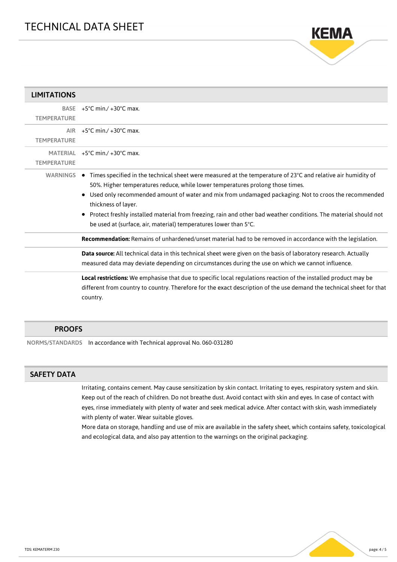

| <b>LIMITATIONS</b>                |                                                                                                                                                                                                                                                                                                                                                                                                                                                                                                                                    |
|-----------------------------------|------------------------------------------------------------------------------------------------------------------------------------------------------------------------------------------------------------------------------------------------------------------------------------------------------------------------------------------------------------------------------------------------------------------------------------------------------------------------------------------------------------------------------------|
| <b>BASE</b><br><b>TEMPERATURE</b> | $+5^{\circ}$ C min./ $+30^{\circ}$ C max.                                                                                                                                                                                                                                                                                                                                                                                                                                                                                          |
| <b>AIR</b><br><b>TEMPERATURE</b>  | $+5^{\circ}$ C min./ $+30^{\circ}$ C max.                                                                                                                                                                                                                                                                                                                                                                                                                                                                                          |
| <b>TEMPERATURE</b>                | MATERIAL $+5^{\circ}$ C min./ $+30^{\circ}$ C max.                                                                                                                                                                                                                                                                                                                                                                                                                                                                                 |
|                                   | WARNINGS ● Times specified in the technical sheet were measured at the temperature of 23°C and relative air humidity of<br>50%. Higher temperatures reduce, while lower temperatures prolong those times.<br>Used only recommended amount of water and mix from undamaged packaging. Not to croos the recommended<br>thickness of layer.<br>• Protect freshly installed material from freezing, rain and other bad weather conditions. The material should not<br>be used at (surface, air, material) temperatures lower than 5°C. |
|                                   | Recommendation: Remains of unhardened/unset material had to be removed in accordance with the legislation.<br>Data source: All technical data in this technical sheet were given on the basis of laboratory research. Actually<br>measured data may deviate depending on circumstances during the use on which we cannot influence.                                                                                                                                                                                                |
|                                   | Local restrictions: We emphasise that due to specific local regulations reaction of the installed product may be<br>different from country to country. Therefore for the exact description of the use demand the technical sheet for that<br>country.                                                                                                                                                                                                                                                                              |

#### PROOFS

NORMS/STANDARDS In accordance with Technical approval No. 060-031280

### SAFETY DATA

Irritating, contains cement. May cause sensitization by skin contact. Irritating to eyes, respiratory system and skin. Keep out of the reach of children. Do not breathe dust. Avoid contact with skin and eyes. In case of contact with eyes, rinse immediately with plenty of water and seek medical advice. After contact with skin, wash immediately with plenty of water. Wear suitable gloves.

More data on storage, handling and use of mix are available in the safety sheet, which contains safety, toxicological and ecological data, and also pay attention to the warnings on the original packaging.